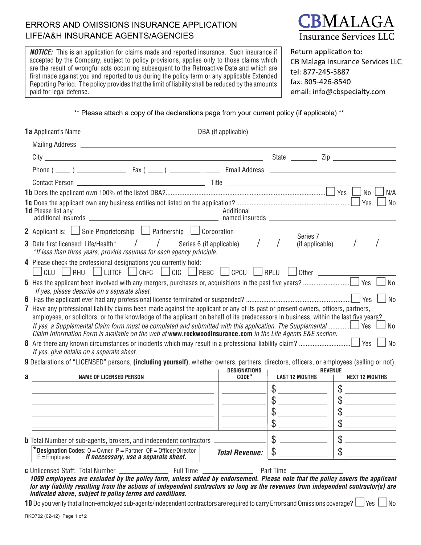## ERRORS AND OMISSIONS INSURANCE APPLICATION LIFE/A&H INSURANCE AGENTS/AGENCIES

**NOTICE:** This is an application for claims made and reported insurance. Such insurance if accepted by the Company, subject to policy provisions, applies only to those claims which are the result of wrongful acts occurring subsequent to the Retroactive Date and which are first made against you and reported to us during the policy term or any applicable Extended Reporting Period. The policy provides that the limit of liability shall be reduced by the amounts paid for legal defense.



Return application to: CB Malaga Insurance Services LLC tel: 877-245-5887 fax: 805-426-8540 email: info@cbspecialty.com

\*\* Please attach a copy of the declarations page from your current policy (if applicable) \*\*

|                                              | Phone $(\_\_\_\)$ $\_\_\_\_\_\_\_\$ Fax $(\_\_\_\)$ $\_\_\_\_\_\_\_\$ Email Address $\_\_\_\_\_\_\_\_\_\_\_\_\_\$                                                                                                  |                                |                                                           |                                                                                                                                                                                                                                                                                                                                                     |  |  |  |
|----------------------------------------------|--------------------------------------------------------------------------------------------------------------------------------------------------------------------------------------------------------------------|--------------------------------|-----------------------------------------------------------|-----------------------------------------------------------------------------------------------------------------------------------------------------------------------------------------------------------------------------------------------------------------------------------------------------------------------------------------------------|--|--|--|
|                                              | Contact Person $\overline{\phantom{a}}$ Title $\overline{\phantom{a}}$ Title $\overline{\phantom{a}}$                                                                                                              |                                |                                                           |                                                                                                                                                                                                                                                                                                                                                     |  |  |  |
|                                              |                                                                                                                                                                                                                    |                                |                                                           | Yes<br>No<br>N/A                                                                                                                                                                                                                                                                                                                                    |  |  |  |
|                                              | <b>1d</b> Please list any                                                                                                                                                                                          | Additional                     |                                                           | Yes<br>No                                                                                                                                                                                                                                                                                                                                           |  |  |  |
|                                              | 2 Applicant is: $\Box$ Sole Proprietorship $\Box$ Partnership $\Box$ Corporation                                                                                                                                   |                                |                                                           |                                                                                                                                                                                                                                                                                                                                                     |  |  |  |
|                                              | 3 Date first licensed: Life/Health* ____/_____ / _____ Series 6 (if applicable) ____/____ /_____ (if applicable) ____ /____ /_____ /_____<br>*If less than three years, provide resumes for each agency principle. |                                | Series 7                                                  |                                                                                                                                                                                                                                                                                                                                                     |  |  |  |
|                                              | 4 Please check the professional designations you currently hold:<br>CLU   RHU   LUTCF   ChFC   CIC   REBC   CPCU   RPLU   Other                                                                                    |                                |                                                           |                                                                                                                                                                                                                                                                                                                                                     |  |  |  |
|                                              | Yes<br><b>No</b>                                                                                                                                                                                                   |                                |                                                           |                                                                                                                                                                                                                                                                                                                                                     |  |  |  |
| If yes, please describe on a separate sheet. |                                                                                                                                                                                                                    |                                |                                                           |                                                                                                                                                                                                                                                                                                                                                     |  |  |  |
|                                              | 7 Have any professional liability claims been made against the applicant or any of its past or present owners, officers, partners,                                                                                 |                                |                                                           | $\overline{\phantom{a}}$ No                                                                                                                                                                                                                                                                                                                         |  |  |  |
|                                              | employees, or solicitors, or to the knowledge of the applicant on behalf of its predecessors in business, within the last five years?                                                                              |                                |                                                           |                                                                                                                                                                                                                                                                                                                                                     |  |  |  |
|                                              | Claim Information Form is available on the web at www.rockwoodinsurance.com in the Life Agents E&E section.                                                                                                        |                                |                                                           | No                                                                                                                                                                                                                                                                                                                                                  |  |  |  |
|                                              |                                                                                                                                                                                                                    |                                |                                                           | <b>No</b>                                                                                                                                                                                                                                                                                                                                           |  |  |  |
|                                              | If yes, give details on a separate sheet.                                                                                                                                                                          |                                |                                                           |                                                                                                                                                                                                                                                                                                                                                     |  |  |  |
|                                              | 9 Declarations of "LICENSED" persons, (including yourself), whether owners, partners, directors, officers, or employees (selling or not).                                                                          |                                |                                                           |                                                                                                                                                                                                                                                                                                                                                     |  |  |  |
| a                                            | <b>NAME OF LICENSED PERSON</b>                                                                                                                                                                                     | <b>DESIGNATIONS</b><br>$CODE*$ | <b>LAST 12 MONTHS</b>                                     | <b>REVENUE</b><br><b>NEXT 12 MONTHS</b>                                                                                                                                                                                                                                                                                                             |  |  |  |
|                                              |                                                                                                                                                                                                                    |                                | \$                                                        | \$                                                                                                                                                                                                                                                                                                                                                  |  |  |  |
|                                              |                                                                                                                                                                                                                    |                                | $\frac{1}{2}$                                             | $\frac{1}{2}$                                                                                                                                                                                                                                                                                                                                       |  |  |  |
|                                              |                                                                                                                                                                                                                    |                                | \$                                                        |                                                                                                                                                                                                                                                                                                                                                     |  |  |  |
|                                              |                                                                                                                                                                                                                    |                                | $\begin{array}{c}\n\circ \\ \circ \\ \hline\n\end{array}$ | $\begin{picture}(20,20) \put(0,0){\line(1,0){10}} \put(15,0){\line(1,0){10}} \put(15,0){\line(1,0){10}} \put(15,0){\line(1,0){10}} \put(15,0){\line(1,0){10}} \put(15,0){\line(1,0){10}} \put(15,0){\line(1,0){10}} \put(15,0){\line(1,0){10}} \put(15,0){\line(1,0){10}} \put(15,0){\line(1,0){10}} \put(15,0){\line(1,0){10}} \put(15,0){\line(1$ |  |  |  |
|                                              |                                                                                                                                                                                                                    |                                |                                                           |                                                                                                                                                                                                                                                                                                                                                     |  |  |  |
|                                              | <b>b</b> Total Number of sub-agents, brokers, and independent contractors.                                                                                                                                         |                                | $\mathcal{L}$                                             |                                                                                                                                                                                                                                                                                                                                                     |  |  |  |
|                                              | * Designation Codes: $0 =$ Owner $P =$ Partner $OF =$ Officer/Director<br>$E =$ Emplovee<br>If neccessary, use a separate sheet.                                                                                   | <b>Total Revenue:</b>          | $\mathbb{S}^-$                                            | $\mathcal{S}$                                                                                                                                                                                                                                                                                                                                       |  |  |  |

**c** Unlicensed Staff: Total Number Full Time Part Time *1099 employees are excluded by the policy form, unless added by endorsement. Please note that the policy covers the applicant for any liability resulting from the actions of independent contractors so long as the revenues from independent contractor(s) are indicated above, subject to policy terms and conditions.*

**10** Do you verify that all non-employed sub-agents/independent contractors are required to carry Errors and Omissions coverage?  $\Box$  Yes  $\Box$  No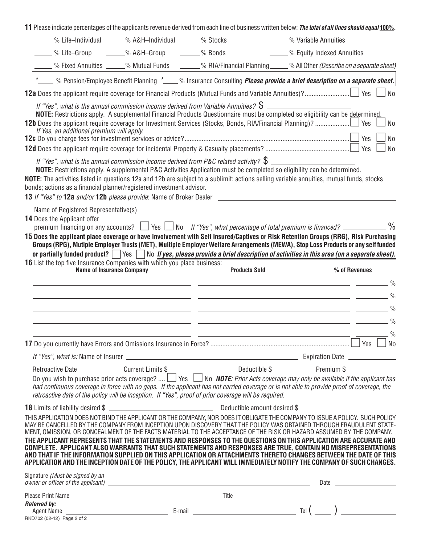**11** Please indicate percentages of the applicants revenue derived from each line of businesswritten below: *The total of all lines should equal* **100%***.*

|                                                                                                                   | % Life-Individual _____% A&H-Individual _____ % Stocks |                                                                                                                                                                                                                                                                                                                                                                                                                                                                                                                                                                                                                                                                                                                                                                                                                                                              | - % Variable Annuities                                                                                                |               |                |
|-------------------------------------------------------------------------------------------------------------------|--------------------------------------------------------|--------------------------------------------------------------------------------------------------------------------------------------------------------------------------------------------------------------------------------------------------------------------------------------------------------------------------------------------------------------------------------------------------------------------------------------------------------------------------------------------------------------------------------------------------------------------------------------------------------------------------------------------------------------------------------------------------------------------------------------------------------------------------------------------------------------------------------------------------------------|-----------------------------------------------------------------------------------------------------------------------|---------------|----------------|
| ____ % Life-Group                                                                                                 | _____% A&H-Group ______% Bonds                         |                                                                                                                                                                                                                                                                                                                                                                                                                                                                                                                                                                                                                                                                                                                                                                                                                                                              | - % Equity Indexed Annuities                                                                                          |               |                |
|                                                                                                                   |                                                        | % Fixed Annuities _____% Mutual Funds ______% RIA/Financial Planning _____% All Other (Describe on a separate sheet)                                                                                                                                                                                                                                                                                                                                                                                                                                                                                                                                                                                                                                                                                                                                         |                                                                                                                       |               |                |
|                                                                                                                   |                                                        | *____ % Pension/Employee Benefit Planning *____% Insurance Consulting <i>Please provide a brief description on a separate sheet.</i>                                                                                                                                                                                                                                                                                                                                                                                                                                                                                                                                                                                                                                                                                                                         |                                                                                                                       |               |                |
|                                                                                                                   |                                                        |                                                                                                                                                                                                                                                                                                                                                                                                                                                                                                                                                                                                                                                                                                                                                                                                                                                              |                                                                                                                       |               |                |
| If Yes, an additional premium will apply.<br>bonds; actions as a financial planner/registered investment advisor. |                                                        | If "Yes", what is the annual commission income derived from Variable Annuities? $\$\_$<br>NOTE: Restrictions apply. A supplemental Financial Products Questionnaire must be completed so eligibility can be determined.<br>If "Yes", what is the annual commission income derived from P&C related activity? $\$\_\_$<br>NOTE: Restrictions apply. A supplemental P&C Activities Application must be completed so eligibility can be determined.<br>NOTE: The activities listed in questions 12a and 12b are subject to a sublimit: actions selling variable annuities, mutual funds, stocks                                                                                                                                                                                                                                                                 |                                                                                                                       | Yes           | No<br>No<br>No |
|                                                                                                                   |                                                        |                                                                                                                                                                                                                                                                                                                                                                                                                                                                                                                                                                                                                                                                                                                                                                                                                                                              |                                                                                                                       |               |                |
| 14 Does the Applicant offer<br><b>16</b> List the top five Insurance Companies with which you place business:     | <b>Name of Insurance Company</b>                       | premium financing on any accounts? $\Box$ Yes $\Box$ No If "Yes", what percentage of total premium is financed? $\Box$ %<br>15 Does the applicant place coverage or have involvement with Self Insured/Captives or Risk Retention Groups (RRG), Risk Purchasing<br>Groups (RPG), Mutiple Employer Trusts (MET), Multiple Employer Welfare Arrangements (MEWA), Stop Loss Products or any self funded<br>or partially funded product? $\Box$ Yes $\Box$ No If yes, please provide a brief description of activities in this area (on a separate sheet).<br><b>Products Sold</b>                                                                                                                                                                                                                                                                               |                                                                                                                       | % of Revenues |                |
|                                                                                                                   |                                                        |                                                                                                                                                                                                                                                                                                                                                                                                                                                                                                                                                                                                                                                                                                                                                                                                                                                              |                                                                                                                       |               |                |
|                                                                                                                   |                                                        |                                                                                                                                                                                                                                                                                                                                                                                                                                                                                                                                                                                                                                                                                                                                                                                                                                                              |                                                                                                                       |               | $\frac{0}{0}$  |
|                                                                                                                   |                                                        |                                                                                                                                                                                                                                                                                                                                                                                                                                                                                                                                                                                                                                                                                                                                                                                                                                                              | <u> 1989 - Johann Barn, mars ann an t-Amhain an t-Amhain an t-Amhain an t-Amhain an t-Amhain an t-Amhain an t-Amh</u> |               |                |
|                                                                                                                   |                                                        |                                                                                                                                                                                                                                                                                                                                                                                                                                                                                                                                                                                                                                                                                                                                                                                                                                                              |                                                                                                                       |               |                |
|                                                                                                                   |                                                        |                                                                                                                                                                                                                                                                                                                                                                                                                                                                                                                                                                                                                                                                                                                                                                                                                                                              |                                                                                                                       |               |                |
|                                                                                                                   |                                                        |                                                                                                                                                                                                                                                                                                                                                                                                                                                                                                                                                                                                                                                                                                                                                                                                                                                              |                                                                                                                       |               | $\frac{0}{0}$  |
|                                                                                                                   |                                                        |                                                                                                                                                                                                                                                                                                                                                                                                                                                                                                                                                                                                                                                                                                                                                                                                                                                              |                                                                                                                       |               | 」Yes __No      |
|                                                                                                                   |                                                        |                                                                                                                                                                                                                                                                                                                                                                                                                                                                                                                                                                                                                                                                                                                                                                                                                                                              |                                                                                                                       |               |                |
|                                                                                                                   |                                                        | Retroactive Date ________________Current Limits \$<br>Do you wish to purchase prior acts coverage? $\Box$ Yes $\Box$ No <b>NOTE:</b> Prior Acts coverage may only be available if the applicant has<br>had continuous coverage in force with no gaps. If the applicant has not carried coverage or is not able to provide proof of coverage, the<br>retroactive date of the policy will be inception. If "Yes", proof of prior coverage will be required.                                                                                                                                                                                                                                                                                                                                                                                                    |                                                                                                                       |               |                |
|                                                                                                                   |                                                        |                                                                                                                                                                                                                                                                                                                                                                                                                                                                                                                                                                                                                                                                                                                                                                                                                                                              |                                                                                                                       |               |                |
|                                                                                                                   |                                                        | THIS APPLICATION DOES NOT BIND THE APPLICANT OR THE COMPANY, NOR DOES IT OBLIGATE THE COMPANY TO ISSUE A POLICY. SUCH POLICY<br>MAY BE CANCELLED BY THE COMPANY FROM INCEPTION UPON DISCOVERY THAT THE POLICY WAS OBTAINED THROUGH FRAUDULENT STATE-<br>MENT, OMISSION, OR CONCEALMENT OF THE FACTS MATERIAL TO THE ACCEPTANCE OF THE RISK OR HAZARD ASSUMED BY THE COMPANY.<br>THE APPLICANT REPRESENTS THAT THE STATEMENTS AND RESPONSES TO THE QUESTIONS ON THIS APPLICATION ARE ACCURATE AND<br>COMPLETE. APPLICANT ALSO WARRANTS THAT SUCH STATEMENTS AND RESPONSES ARE TRUE, CONTAIN NO MISREPRESENTATIONS<br>AND THAT IF THE INFORMATION SUPPLIED ON THIS APPLICATION OR ATTACHMENTS THERETO CHANGES BETWEEN THE DATE OF THIS<br>APPLICATION AND THE INCEPTION DATE OF THE POLICY, THE APPLICANT WILL IMMEDIATELY NOTIFY THE COMPANY OF SUCH CHANGES. |                                                                                                                       |               |                |
| Signature (Must be signed by an                                                                                   |                                                        | owner or officer of the applicant) example and the set of the set of the set of the set of the set of the set of the set of the set of the set of the set of the set of the set of the set of the set of the set of the set of                                                                                                                                                                                                                                                                                                                                                                                                                                                                                                                                                                                                                               |                                                                                                                       |               |                |
|                                                                                                                   |                                                        |                                                                                                                                                                                                                                                                                                                                                                                                                                                                                                                                                                                                                                                                                                                                                                                                                                                              |                                                                                                                       |               |                |
| <b>Referred by:</b>                                                                                               |                                                        |                                                                                                                                                                                                                                                                                                                                                                                                                                                                                                                                                                                                                                                                                                                                                                                                                                                              |                                                                                                                       |               |                |
| RKD702 (02-12) Page 2 of 2                                                                                        |                                                        |                                                                                                                                                                                                                                                                                                                                                                                                                                                                                                                                                                                                                                                                                                                                                                                                                                                              |                                                                                                                       |               |                |